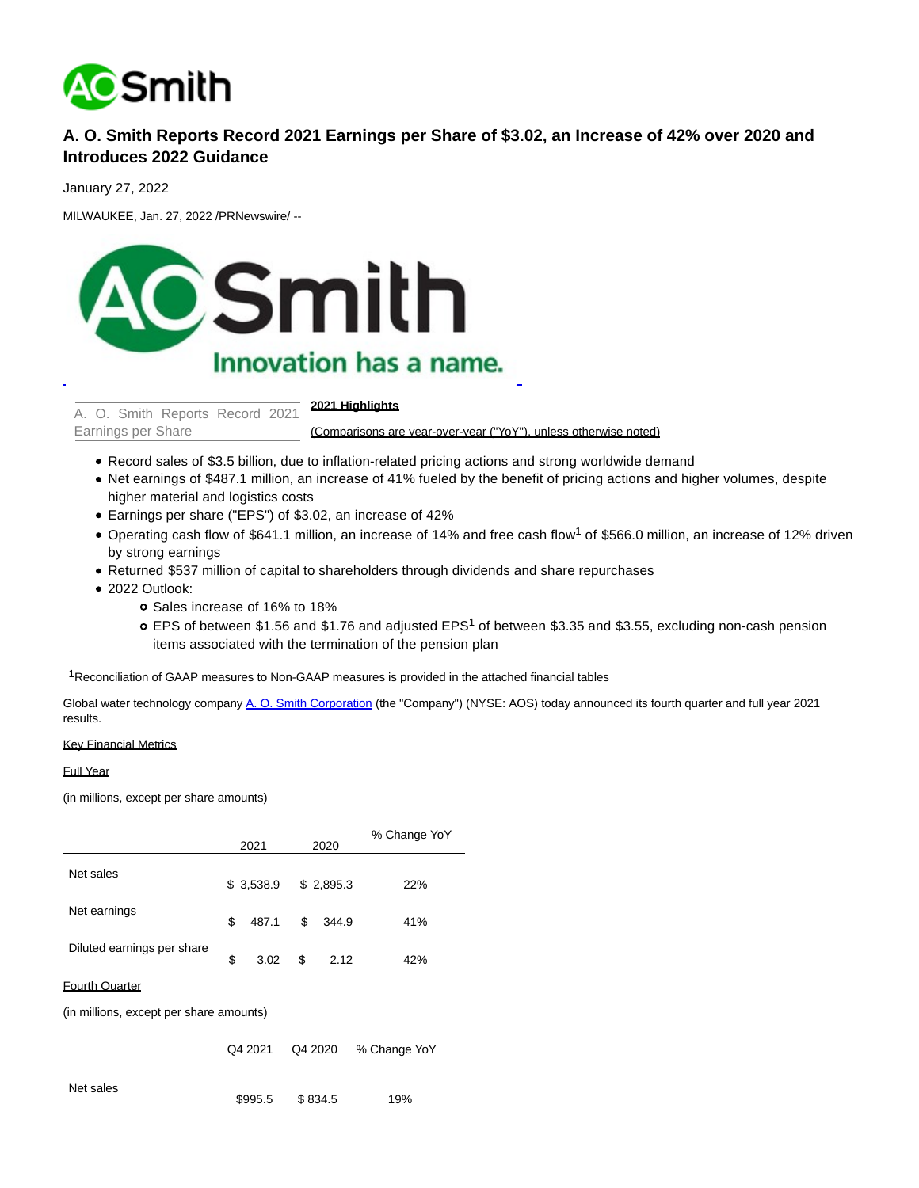

# **A. O. Smith Reports Record 2021 Earnings per Share of \$3.02, an Increase of 42% over 2020 and Introduces 2022 Guidance**

January 27, 2022

MILWAUKEE, Jan. 27, 2022 /PRNewswire/ --



A. O. Smith Reports Record 2021 Earnings per Share

**2021 Highlights**

(Comparisons are year-over-year ("YoY"), unless otherwise noted)

- Record sales of \$3.5 billion, due to inflation-related pricing actions and strong worldwide demand
- Net earnings of \$487.1 million, an increase of 41% fueled by the benefit of pricing actions and higher volumes, despite higher material and logistics costs
- Earnings per share ("EPS") of \$3.02, an increase of 42%
- Operating cash flow of \$641.1 million, an increase of 14% and free cash flow<sup>1</sup> of \$566.0 million, an increase of 12% driven by strong earnings
- Returned \$537 million of capital to shareholders through dividends and share repurchases
- 2022 Outlook:
	- Sales increase of 16% to 18%
	- EPS of between \$1.56 and \$1.76 and adjusted EPS<sup>1</sup> of between \$3.35 and \$3.55, excluding non-cash pension items associated with the termination of the pension plan

1Reconciliation of GAAP measures to Non-GAAP measures is provided in the attached financial tables

Global water technology company [A. O. Smith Corporation \(](https://c212.net/c/link/?t=0&l=en&o=3425587-1&h=874443512&u=https%3A%2F%2Fwww.aosmith.com%2F&a=A.+O.+Smith+Corporation)the "Company") (NYSE: AOS) today announced its fourth quarter and full year 2021 results.

#### Key Financial Metrics

## Full Year

(in millions, except per share amounts)

|                                         |         | 2021      | 2020    |           | % Change YoY |
|-----------------------------------------|---------|-----------|---------|-----------|--------------|
| Net sales                               |         | \$3,538.9 |         | \$2,895.3 | 22%          |
| Net earnings                            | \$      | 487.1     | \$      | 344.9     | 41%          |
| Diluted earnings per share              | \$      | 3.02      | \$      | 2.12      | 42%          |
| <b>Fourth Quarter</b>                   |         |           |         |           |              |
| (in millions, except per share amounts) |         |           |         |           |              |
|                                         | Q4 2021 |           | Q4 2020 |           | % Change YoY |
| Net sales                               |         | \$995.5   | \$834.5 |           | 19%          |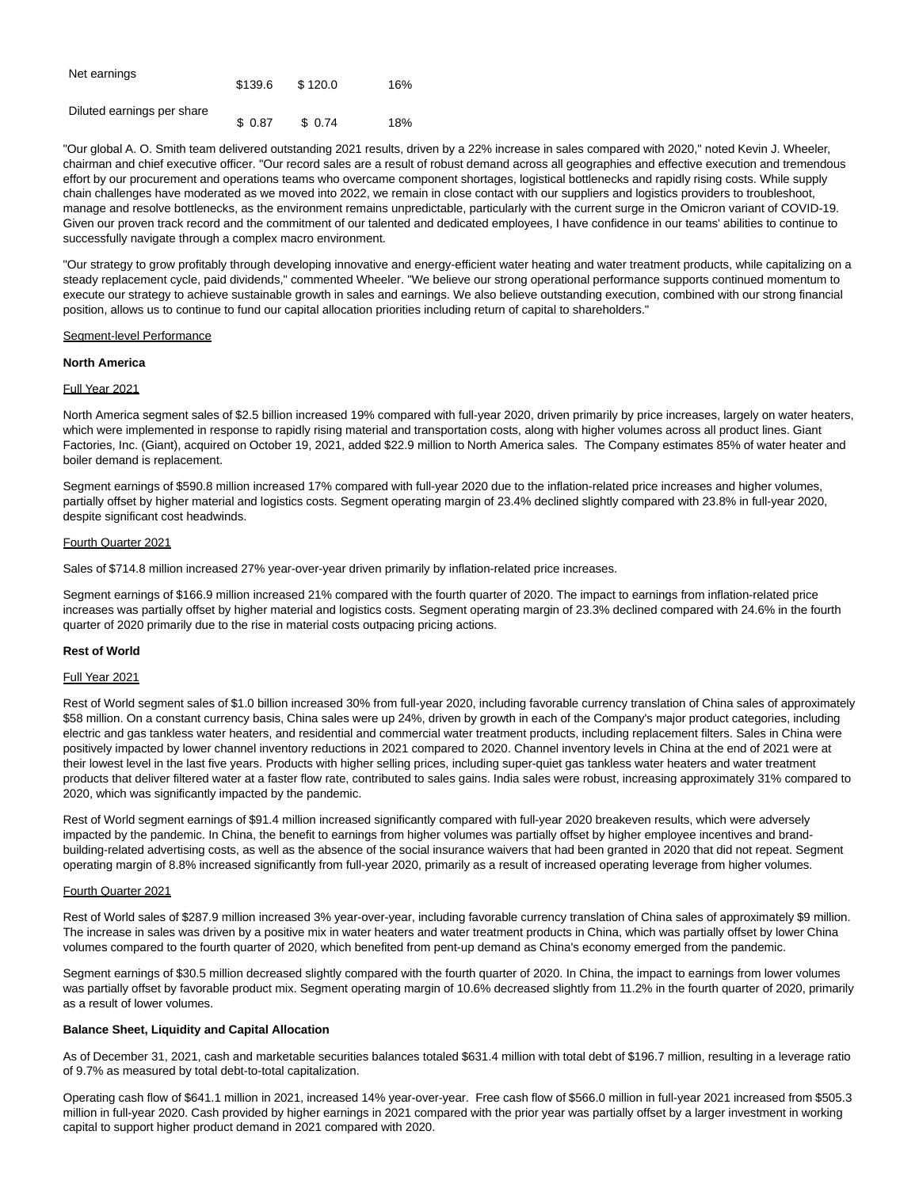| Net earnings               | \$139.6 | \$120.0 | 16% |
|----------------------------|---------|---------|-----|
| Diluted earnings per share | \$0.87  | \$0.74  | 18% |

"Our global A. O. Smith team delivered outstanding 2021 results, driven by a 22% increase in sales compared with 2020," noted Kevin J. Wheeler, chairman and chief executive officer. "Our record sales are a result of robust demand across all geographies and effective execution and tremendous effort by our procurement and operations teams who overcame component shortages, logistical bottlenecks and rapidly rising costs. While supply chain challenges have moderated as we moved into 2022, we remain in close contact with our suppliers and logistics providers to troubleshoot, manage and resolve bottlenecks, as the environment remains unpredictable, particularly with the current surge in the Omicron variant of COVID-19. Given our proven track record and the commitment of our talented and dedicated employees, I have confidence in our teams' abilities to continue to successfully navigate through a complex macro environment.

"Our strategy to grow profitably through developing innovative and energy-efficient water heating and water treatment products, while capitalizing on a steady replacement cycle, paid dividends," commented Wheeler. "We believe our strong operational performance supports continued momentum to execute our strategy to achieve sustainable growth in sales and earnings. We also believe outstanding execution, combined with our strong financial position, allows us to continue to fund our capital allocation priorities including return of capital to shareholders."

#### Segment-level Performance

#### **North America**

## Full Year 2021

North America segment sales of \$2.5 billion increased 19% compared with full-year 2020, driven primarily by price increases, largely on water heaters, which were implemented in response to rapidly rising material and transportation costs, along with higher volumes across all product lines. Giant Factories, Inc. (Giant), acquired on October 19, 2021, added \$22.9 million to North America sales. The Company estimates 85% of water heater and boiler demand is replacement.

Segment earnings of \$590.8 million increased 17% compared with full-year 2020 due to the inflation-related price increases and higher volumes, partially offset by higher material and logistics costs. Segment operating margin of 23.4% declined slightly compared with 23.8% in full-year 2020, despite significant cost headwinds.

#### Fourth Quarter 2021

Sales of \$714.8 million increased 27% year-over-year driven primarily by inflation-related price increases.

Segment earnings of \$166.9 million increased 21% compared with the fourth quarter of 2020. The impact to earnings from inflation-related price increases was partially offset by higher material and logistics costs. Segment operating margin of 23.3% declined compared with 24.6% in the fourth quarter of 2020 primarily due to the rise in material costs outpacing pricing actions.

### **Rest of World**

## Full Year 2021

Rest of World segment sales of \$1.0 billion increased 30% from full-year 2020, including favorable currency translation of China sales of approximately \$58 million. On a constant currency basis, China sales were up 24%, driven by growth in each of the Company's major product categories, including electric and gas tankless water heaters, and residential and commercial water treatment products, including replacement filters. Sales in China were positively impacted by lower channel inventory reductions in 2021 compared to 2020. Channel inventory levels in China at the end of 2021 were at their lowest level in the last five years. Products with higher selling prices, including super-quiet gas tankless water heaters and water treatment products that deliver filtered water at a faster flow rate, contributed to sales gains. India sales were robust, increasing approximately 31% compared to 2020, which was significantly impacted by the pandemic.

Rest of World segment earnings of \$91.4 million increased significantly compared with full-year 2020 breakeven results, which were adversely impacted by the pandemic. In China, the benefit to earnings from higher volumes was partially offset by higher employee incentives and brandbuilding-related advertising costs, as well as the absence of the social insurance waivers that had been granted in 2020 that did not repeat. Segment operating margin of 8.8% increased significantly from full-year 2020, primarily as a result of increased operating leverage from higher volumes.

#### Fourth Quarter 2021

Rest of World sales of \$287.9 million increased 3% year-over-year, including favorable currency translation of China sales of approximately \$9 million. The increase in sales was driven by a positive mix in water heaters and water treatment products in China, which was partially offset by lower China volumes compared to the fourth quarter of 2020, which benefited from pent-up demand as China's economy emerged from the pandemic.

Segment earnings of \$30.5 million decreased slightly compared with the fourth quarter of 2020. In China, the impact to earnings from lower volumes was partially offset by favorable product mix. Segment operating margin of 10.6% decreased slightly from 11.2% in the fourth quarter of 2020, primarily as a result of lower volumes.

## **Balance Sheet, Liquidity and Capital Allocation**

As of December 31, 2021, cash and marketable securities balances totaled \$631.4 million with total debt of \$196.7 million, resulting in a leverage ratio of 9.7% as measured by total debt-to-total capitalization.

Operating cash flow of \$641.1 million in 2021, increased 14% year-over-year. Free cash flow of \$566.0 million in full-year 2021 increased from \$505.3 million in full-year 2020. Cash provided by higher earnings in 2021 compared with the prior year was partially offset by a larger investment in working capital to support higher product demand in 2021 compared with 2020.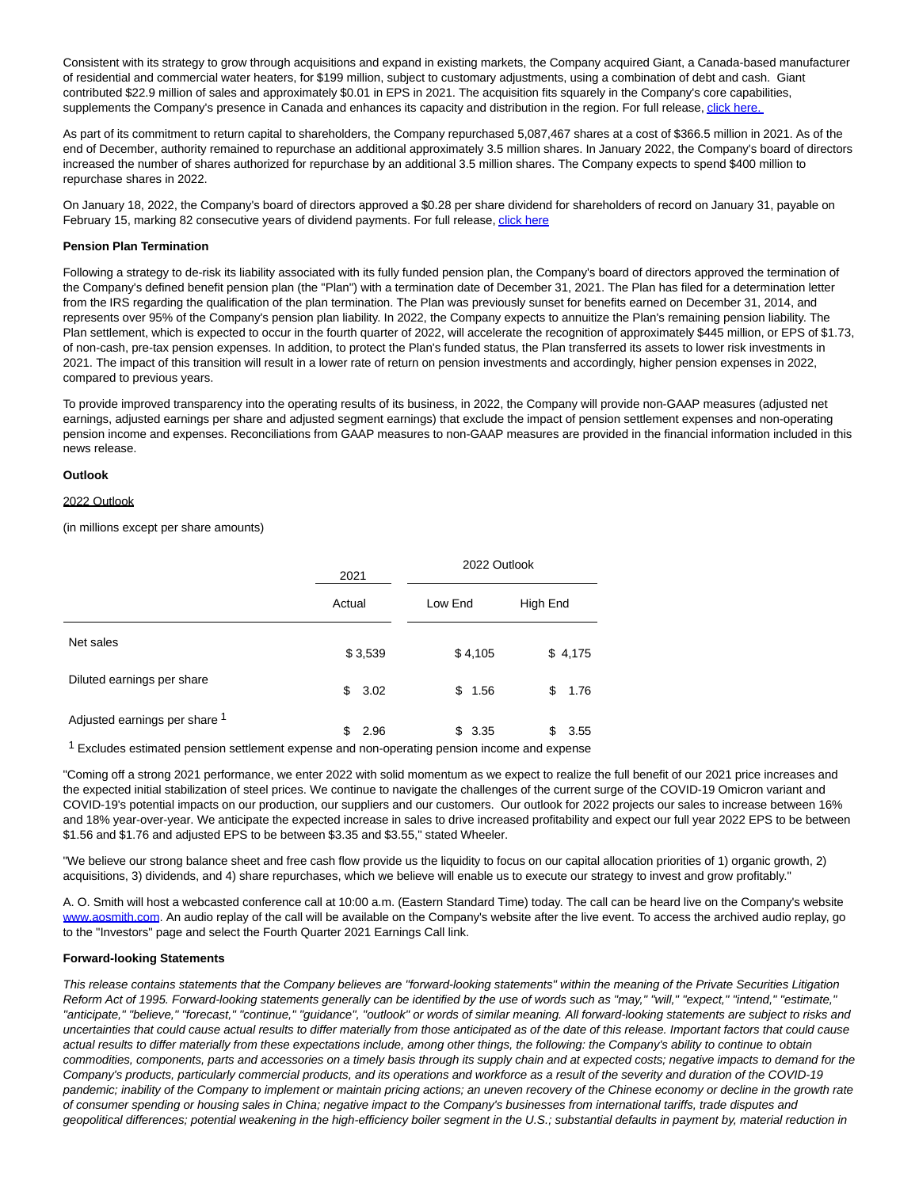Consistent with its strategy to grow through acquisitions and expand in existing markets, the Company acquired Giant, a Canada-based manufacturer of residential and commercial water heaters, for \$199 million, subject to customary adjustments, using a combination of debt and cash. Giant contributed \$22.9 million of sales and approximately \$0.01 in EPS in 2021. The acquisition fits squarely in the Company's core capabilities, supplements the Company's presence in Canada and enhances its capacity and distribution in the region. For full release, click here.

As part of its commitment to return capital to shareholders, the Company repurchased 5,087,467 shares at a cost of \$366.5 million in 2021. As of the end of December, authority remained to repurchase an additional approximately 3.5 million shares. In January 2022, the Company's board of directors increased the number of shares authorized for repurchase by an additional 3.5 million shares. The Company expects to spend \$400 million to repurchase shares in 2022.

On January 18, 2022, the Company's board of directors approved a \$0.28 per share dividend for shareholders of record on January 31, payable on February 15, marking 82 consecutive years of dividend payments. For full release[, click here](https://c212.net/c/link/?t=0&l=en&o=3425587-1&h=1880668918&u=https%3A%2F%2Fwww.aosmith.com%2FNews%2F2022-News%2F2022-01-18-Q4-Dividend%2F&a=click+here)

#### **Pension Plan Termination**

Following a strategy to de-risk its liability associated with its fully funded pension plan, the Company's board of directors approved the termination of the Company's defined benefit pension plan (the "Plan") with a termination date of December 31, 2021. The Plan has filed for a determination letter from the IRS regarding the qualification of the plan termination. The Plan was previously sunset for benefits earned on December 31, 2014, and represents over 95% of the Company's pension plan liability. In 2022, the Company expects to annuitize the Plan's remaining pension liability. The Plan settlement, which is expected to occur in the fourth quarter of 2022, will accelerate the recognition of approximately \$445 million, or EPS of \$1.73, of non-cash, pre-tax pension expenses. In addition, to protect the Plan's funded status, the Plan transferred its assets to lower risk investments in 2021. The impact of this transition will result in a lower rate of return on pension investments and accordingly, higher pension expenses in 2022, compared to previous years.

To provide improved transparency into the operating results of its business, in 2022, the Company will provide non-GAAP measures (adjusted net earnings, adjusted earnings per share and adjusted segment earnings) that exclude the impact of pension settlement expenses and non-operating pension income and expenses. Reconciliations from GAAP measures to non-GAAP measures are provided in the financial information included in this news release.

#### **Outlook**

#### 2022 Outlook

(in millions except per share amounts)

|                               | 2021       | 2022 Outlook |            |
|-------------------------------|------------|--------------|------------|
|                               | Actual     | Low End      | High End   |
| Net sales                     | \$3,539    | \$4,105      | \$4,175    |
| Diluted earnings per share    | \$3.02     | \$1.56       | \$<br>1.76 |
| Adjusted earnings per share 1 | \$<br>2.96 | \$3.35       | \$<br>3.55 |

<sup>1</sup> Excludes estimated pension settlement expense and non-operating pension income and expense

"Coming off a strong 2021 performance, we enter 2022 with solid momentum as we expect to realize the full benefit of our 2021 price increases and the expected initial stabilization of steel prices. We continue to navigate the challenges of the current surge of the COVID-19 Omicron variant and COVID-19's potential impacts on our production, our suppliers and our customers. Our outlook for 2022 projects our sales to increase between 16% and 18% year-over-year. We anticipate the expected increase in sales to drive increased profitability and expect our full year 2022 EPS to be between \$1.56 and \$1.76 and adjusted EPS to be between \$3.35 and \$3.55," stated Wheeler.

"We believe our strong balance sheet and free cash flow provide us the liquidity to focus on our capital allocation priorities of 1) organic growth, 2) acquisitions, 3) dividends, and 4) share repurchases, which we believe will enable us to execute our strategy to invest and grow profitably."

A. O. Smith will host a webcasted conference call at 10:00 a.m. (Eastern Standard Time) today. The call can be heard live on the Company's website [www.aosmith.com.](https://c212.net/c/link/?t=0&l=en&o=3425587-1&h=4142007630&u=http%3A%2F%2Fwww.aosmith.com%2F&a=www.aosmith.com) An audio replay of the call will be available on the Company's website after the live event. To access the archived audio replay, go to the "Investors" page and select the Fourth Quarter 2021 Earnings Call link.

## **Forward-looking Statements**

This release contains statements that the Company believes are "forward-looking statements" within the meaning of the Private Securities Litigation Reform Act of 1995. Forward-looking statements generally can be identified by the use of words such as "may," "will," "expect," "intend," "estimate," "anticipate," "believe," "forecast," "continue," "guidance", "outlook" or words of similar meaning. All forward-looking statements are subject to risks and uncertainties that could cause actual results to differ materially from those anticipated as of the date of this release. Important factors that could cause actual results to differ materially from these expectations include, among other things, the following: the Company's ability to continue to obtain commodities, components, parts and accessories on a timely basis through its supply chain and at expected costs; negative impacts to demand for the Company's products, particularly commercial products, and its operations and workforce as a result of the severity and duration of the COVID-19 pandemic; inability of the Company to implement or maintain pricing actions; an uneven recovery of the Chinese economy or decline in the growth rate of consumer spending or housing sales in China; negative impact to the Company's businesses from international tariffs, trade disputes and geopolitical differences; potential weakening in the high-efficiency boiler segment in the U.S.; substantial defaults in payment by, material reduction in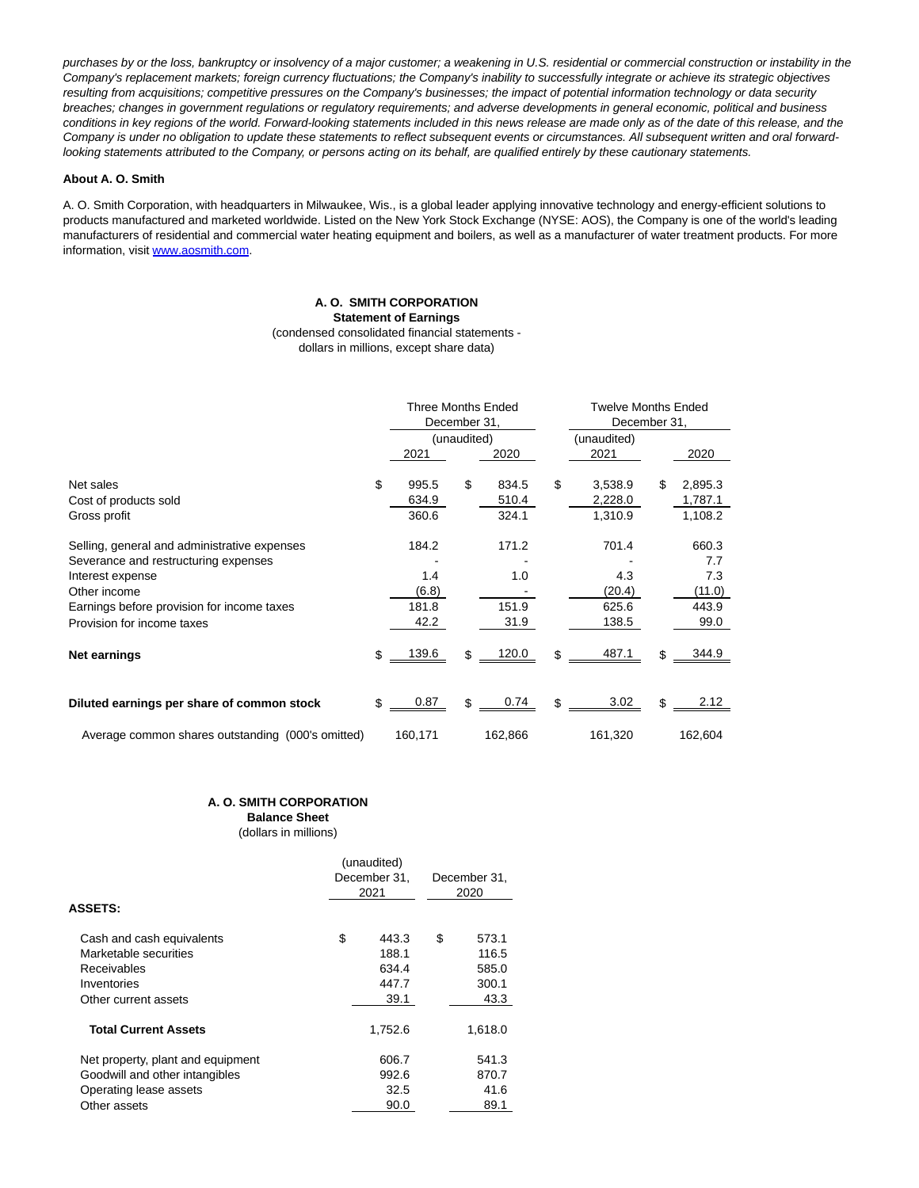purchases by or the loss, bankruptcy or insolvency of a major customer; a weakening in U.S. residential or commercial construction or instability in the Company's replacement markets; foreign currency fluctuations; the Company's inability to successfully integrate or achieve its strategic objectives resulting from acquisitions; competitive pressures on the Company's businesses; the impact of potential information technology or data security breaches; changes in government regulations or regulatory requirements; and adverse developments in general economic, political and business conditions in key regions of the world. Forward-looking statements included in this news release are made only as of the date of this release, and the Company is under no obligation to update these statements to reflect subsequent events or circumstances. All subsequent written and oral forwardlooking statements attributed to the Company, or persons acting on its behalf, are qualified entirely by these cautionary statements.

#### **About A. O. Smith**

A. O. Smith Corporation, with headquarters in Milwaukee, Wis., is a global leader applying innovative technology and energy-efficient solutions to products manufactured and marketed worldwide. Listed on the New York Stock Exchange (NYSE: AOS), the Company is one of the world's leading manufacturers of residential and commercial water heating equipment and boilers, as well as a manufacturer of water treatment products. For more information, visit [www.aosmith.com.](https://c212.net/c/link/?t=0&l=en&o=3425587-1&h=4142007630&u=http%3A%2F%2Fwww.aosmith.com%2F&a=www.aosmith.com)

# **A. O. SMITH CORPORATION**

**Statement of Earnings**

(condensed consolidated financial statements dollars in millions, except share data)

|                                                                                                                                                                                                      |     | Three Months Ended<br>December 31,     |             |                               | <b>Twelve Months Ended</b><br>December 31, |     |                                                |
|------------------------------------------------------------------------------------------------------------------------------------------------------------------------------------------------------|-----|----------------------------------------|-------------|-------------------------------|--------------------------------------------|-----|------------------------------------------------|
|                                                                                                                                                                                                      |     | 2021                                   | (unaudited) | 2020                          | (unaudited)<br>2021                        |     | 2020                                           |
| Net sales<br>Cost of products sold                                                                                                                                                                   | \$  | 995.5<br>634.9                         | \$          | 834.5<br>510.4                | \$<br>3,538.9<br>2,228.0                   | \$  | 2,895.3<br>1,787.1                             |
| Gross profit                                                                                                                                                                                         |     | 360.6                                  |             | 324.1                         | 1,310.9                                    |     | 1,108.2                                        |
| Selling, general and administrative expenses<br>Severance and restructuring expenses<br>Interest expense<br>Other income<br>Earnings before provision for income taxes<br>Provision for income taxes |     | 184.2<br>1.4<br>(6.8)<br>181.8<br>42.2 |             | 171.2<br>1.0<br>151.9<br>31.9 | 701.4<br>4.3<br>(20.4)<br>625.6<br>138.5   |     | 660.3<br>7.7<br>7.3<br>(11.0)<br>443.9<br>99.0 |
| <b>Net earnings</b>                                                                                                                                                                                  | \$. | 139.6                                  | \$          | 120.0                         | \$<br>487.1                                | \$. | 344.9                                          |
| Diluted earnings per share of common stock                                                                                                                                                           | \$  | 0.87                                   | \$          | 0.74                          | 3.02                                       | \$. | 2.12                                           |
| Average common shares outstanding (000's omitted)                                                                                                                                                    |     | 160,171                                |             | 162,866                       | 161,320                                    |     | 162,604                                        |

## **A. O. SMITH CORPORATION**

**Balance Sheet**

(dollars in millions)

| <b>ASSETS:</b>                    | (unaudited)<br>December 31,<br>2021 |         | December 31,<br>2020 |
|-----------------------------------|-------------------------------------|---------|----------------------|
|                                   |                                     |         |                      |
| Cash and cash equivalents         | \$                                  | 443.3   | \$<br>573.1          |
| Marketable securities             |                                     | 188.1   | 116.5                |
| Receivables                       |                                     | 634.4   | 585.0                |
| Inventories                       |                                     | 447.7   | 300.1                |
| Other current assets              |                                     | 39.1    | 43.3                 |
| <b>Total Current Assets</b>       |                                     | 1,752.6 | 1,618.0              |
| Net property, plant and equipment |                                     | 606.7   | 541.3                |
| Goodwill and other intangibles    |                                     | 992.6   | 870.7                |
| Operating lease assets            |                                     | 32.5    | 41.6                 |
| Other assets                      |                                     | 90.0    | 89.1                 |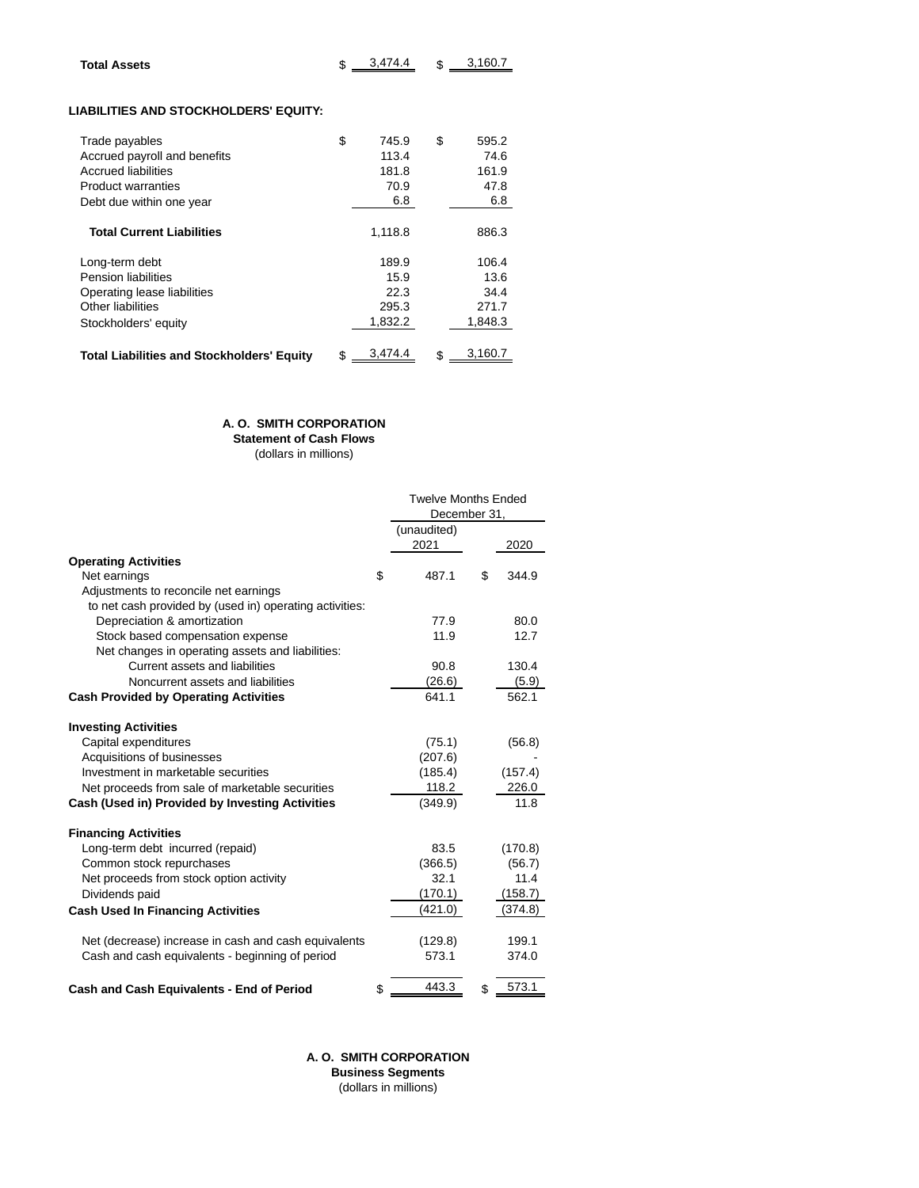| <b>Total Assets</b> | 3 474 4 | \$. | 3.160.7 |
|---------------------|---------|-----|---------|
|---------------------|---------|-----|---------|

## **LIABILITIES AND STOCKHOLDERS' EQUITY:**

| Trade payables<br>Accrued payroll and benefits<br>Accrued liabilities | \$<br>745.9<br>113.4<br>181.8 | \$<br>595.2<br>74.6<br>161.9 |
|-----------------------------------------------------------------------|-------------------------------|------------------------------|
| <b>Product warranties</b>                                             | 70.9                          | 47.8                         |
| Debt due within one year                                              | 6.8                           | 6.8                          |
| <b>Total Current Liabilities</b>                                      | 1,118.8                       | 886.3                        |
| Long-term debt                                                        | 189.9                         | 106.4                        |
| <b>Pension liabilities</b>                                            | 15.9                          | 13.6                         |
| Operating lease liabilities                                           | 22.3                          | 34.4                         |
| Other liabilities                                                     | 295.3                         | 271.7                        |
| Stockholders' equity                                                  | 1,832.2                       | 1,848.3                      |
| <b>Total Liabilities and Stockholders' Equity</b>                     | 3,474.4                       | \$<br>3,160.7                |

## **A. O. SMITH CORPORATION**

**Statement of Cash Flows**

(dollars in millions)

|                                                         | <b>Twelve Months Ended</b> |    |         |  |
|---------------------------------------------------------|----------------------------|----|---------|--|
|                                                         | December 31.               |    |         |  |
|                                                         | (unaudited)                |    |         |  |
|                                                         | 2021                       |    | 2020    |  |
| <b>Operating Activities</b>                             |                            |    |         |  |
| Net earnings                                            | \$<br>487.1                | \$ | 344.9   |  |
| Adjustments to reconcile net earnings                   |                            |    |         |  |
| to net cash provided by (used in) operating activities: |                            |    |         |  |
| Depreciation & amortization                             | 77.9                       |    | 80.0    |  |
| Stock based compensation expense                        | 11.9                       |    | 12.7    |  |
| Net changes in operating assets and liabilities:        |                            |    |         |  |
| Current assets and liabilities                          | 90.8                       |    | 130.4   |  |
| Noncurrent assets and liabilities                       | (26.6)                     |    | (5.9)   |  |
| <b>Cash Provided by Operating Activities</b>            | 641.1                      |    | 562.1   |  |
| <b>Investing Activities</b>                             |                            |    |         |  |
| Capital expenditures                                    | (75.1)                     |    | (56.8)  |  |
| Acquisitions of businesses                              | (207.6)                    |    |         |  |
| Investment in marketable securities                     | (185.4)                    |    | (157.4) |  |
| Net proceeds from sale of marketable securities         | 118.2                      |    | 226.0   |  |
| Cash (Used in) Provided by Investing Activities         | (349.9)                    |    | 11.8    |  |
|                                                         |                            |    |         |  |
| <b>Financing Activities</b>                             |                            |    |         |  |
| Long-term debt incurred (repaid)                        | 83.5                       |    | (170.8) |  |
| Common stock repurchases                                | (366.5)                    |    | (56.7)  |  |
| Net proceeds from stock option activity                 | 32.1                       |    | 11.4    |  |
| Dividends paid                                          | (170.1)                    |    | (158.7) |  |
| <b>Cash Used In Financing Activities</b>                | (421.0)                    |    | (374.8) |  |
| Net (decrease) increase in cash and cash equivalents    | (129.8)                    |    | 199.1   |  |
| Cash and cash equivalents - beginning of period         | 573.1                      |    | 374.0   |  |
|                                                         |                            |    |         |  |
| Cash and Cash Equivalents - End of Period               | \$<br>443.3                | \$ | 573.1   |  |

**A. O. SMITH CORPORATION Business Segments** (dollars in millions)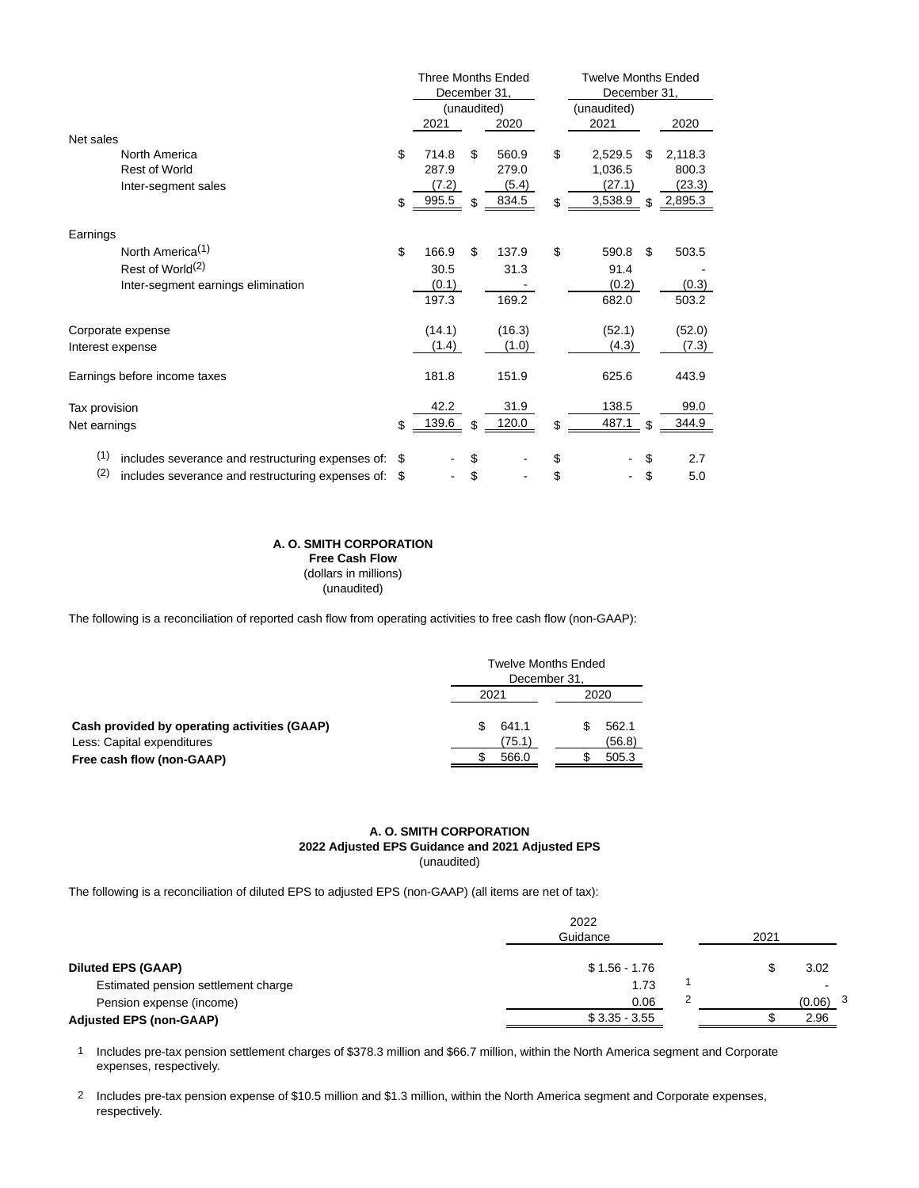|                                                             | Three Months Ended |             |              | <b>Twelve Months Ended</b> |     |         |  |
|-------------------------------------------------------------|--------------------|-------------|--------------|----------------------------|-----|---------|--|
|                                                             | December 31,       |             | December 31, |                            |     |         |  |
|                                                             |                    | (unaudited) |              | (unaudited)                |     |         |  |
|                                                             | 2021               |             | 2020         | 2021                       |     | 2020    |  |
| Net sales                                                   |                    |             |              |                            |     |         |  |
| North America                                               | \$<br>714.8        | \$          | 560.9        | \$<br>2.529.5              | S   | 2,118.3 |  |
| Rest of World                                               | 287.9              |             | 279.0        | 1,036.5                    |     | 800.3   |  |
| Inter-segment sales                                         | (7.2)              |             | (5.4)        | (27.1)                     |     | (23.3)  |  |
|                                                             | \$<br>995.5        | \$          | 834.5        | \$<br>3,538.9              | \$  | 2,895.3 |  |
| Earnings                                                    |                    |             |              |                            |     |         |  |
| North America <sup>(1)</sup>                                | \$<br>166.9        | \$          | 137.9        | \$<br>590.8                | \$  | 503.5   |  |
| Rest of World <sup>(2)</sup>                                | 30.5               |             | 31.3         | 91.4                       |     |         |  |
| Inter-segment earnings elimination                          | (0.1)              |             |              | (0.2)                      |     | (0.3)   |  |
|                                                             | 197.3              |             | 169.2        | 682.0                      |     | 503.2   |  |
| Corporate expense                                           | (14.1)             |             | (16.3)       | (52.1)                     |     | (52.0)  |  |
| Interest expense                                            | (1.4)              |             | (1.0)        | (4.3)                      |     | (7.3)   |  |
| Earnings before income taxes                                | 181.8              |             | 151.9        | 625.6                      |     | 443.9   |  |
| Tax provision                                               | 42.2               |             | 31.9         | 138.5                      |     | 99.0    |  |
| Net earnings                                                | \$<br>139.6        | \$.         | 120.0        | \$<br>487.1                | \$. | 344.9   |  |
| (1)<br>includes severance and restructuring expenses of: \$ |                    | S           |              | \$                         | \$  | 2.7     |  |
| (2)<br>includes severance and restructuring expenses of: \$ |                    | \$          |              | \$                         | \$  | 5.0     |  |
|                                                             |                    |             |              |                            |     |         |  |

# **A. O. SMITH CORPORATION**

 **Free Cash Flow**  (dollars in millions) (unaudited)

The following is a reconciliation of reported cash flow from operating activities to free cash flow (non-GAAP):

|                                                         | Twelve Months Ended<br>December 31 |                 |
|---------------------------------------------------------|------------------------------------|-----------------|
|                                                         | 2021                               | 2020            |
| Cash provided by operating activities (GAAP)            | 641.1<br>S                         | 562.1           |
| Less: Capital expenditures<br>Free cash flow (non-GAAP) | (75.1)<br>566.0                    | (56.8)<br>505.3 |

## **A. O. SMITH CORPORATION 2022 Adjusted EPS Guidance and 2021 Adjusted EPS** (unaudited)

The following is a reconciliation of diluted EPS to adjusted EPS (non-GAAP) (all items are net of tax):

|                                     | 2022<br>Guidance | 2021 |        |     |
|-------------------------------------|------------------|------|--------|-----|
| Diluted EPS (GAAP)                  | $$1.56 - 1.76$   |      | 3.02   |     |
| Estimated pension settlement charge | 1.73             |      |        |     |
| Pension expense (income)            | 0.06             |      | (0.06) | - 3 |
| <b>Adjusted EPS (non-GAAP)</b>      | $$3.35 - 3.55$   |      | 2.96   |     |

 1 Includes pre-tax pension settlement charges of \$378.3 million and \$66.7 million, within the North America segment and Corporate expenses, respectively.

 2 Includes pre-tax pension expense of \$10.5 million and \$1.3 million, within the North America segment and Corporate expenses, respectively.